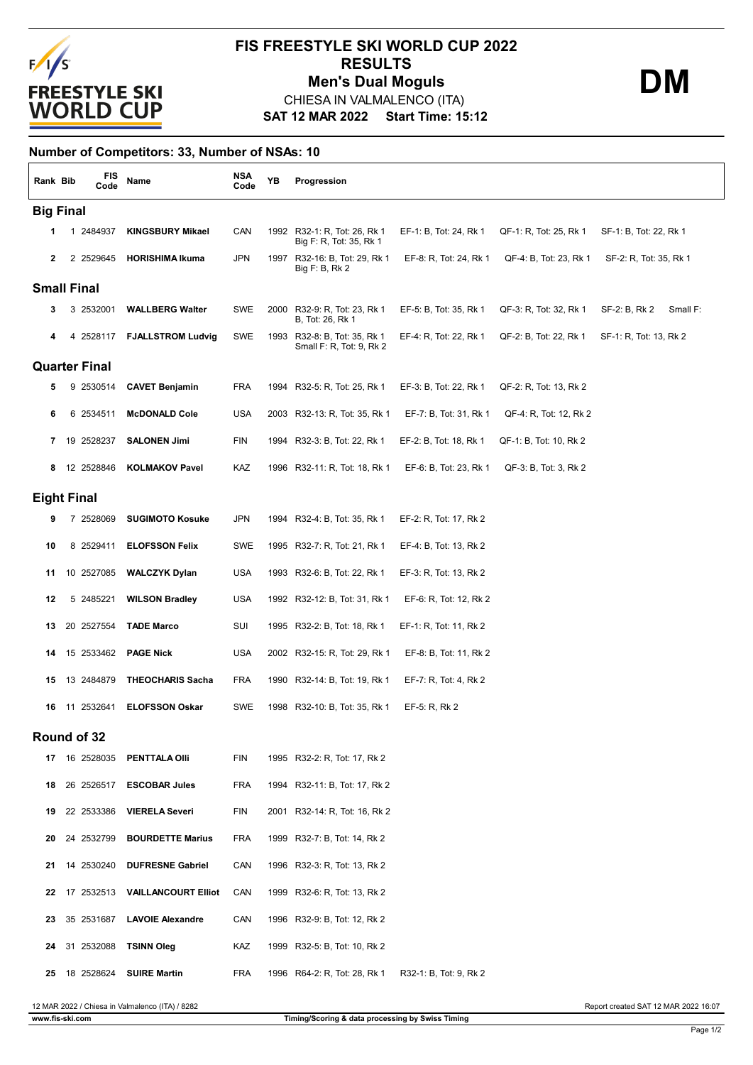

## **SAT 12 MAR 2022 Start Time: 15:12 FIS FREESTYLE SKI WORLD CUP 2022 RESULTS** CHIESA IN VALMALENCO (ITA) **Men's Dual Moguls DM**

**Number of Competitors: 33, Number of NSAs: 10**

| Rank Bib             | <b>FIS</b><br>Code | Name                        | <b>NSA</b><br>Code | ΥB | Progression                                              |                        |                        |                           |
|----------------------|--------------------|-----------------------------|--------------------|----|----------------------------------------------------------|------------------------|------------------------|---------------------------|
| <b>Big Final</b>     |                    |                             |                    |    |                                                          |                        |                        |                           |
| 1                    | 1 2484937          | <b>KINGSBURY Mikael</b>     | CAN                |    | 1992 R32-1: R, Tot: 26, Rk 1<br>Big F: R, Tot: 35, Rk 1  | EF-1: B, Tot: 24, Rk 1 | QF-1: R, Tot: 25, Rk 1 | SF-1: B, Tot: 22, Rk 1    |
| $\mathbf{2}$         | 2 2529645          | <b>HORISHIMA Ikuma</b>      | <b>JPN</b>         |    | 1997 R32-16: B, Tot: 29, Rk 1<br>Big F: B, Rk 2          | EF-8: R, Tot: 24, Rk 1 | QF-4: B, Tot: 23, Rk 1 | SF-2: R, Tot: 35, Rk 1    |
| <b>Small Final</b>   |                    |                             |                    |    |                                                          |                        |                        |                           |
| 3                    | 3 2532001          | <b>WALLBERG Walter</b>      | SWE                |    | 2000 R32-9: R, Tot: 23, Rk 1<br>B, Tot: 26, Rk 1         | EF-5: B, Tot: 35, Rk 1 | QF-3: R, Tot: 32, Rk 1 | SF-2: B, Rk 2<br>Small F: |
| 4                    |                    | 4 2528117 FJALLSTROM Ludvig | SWE                |    | 1993 R32-8: B, Tot: 35, Rk 1<br>Small F: R, Tot: 9, Rk 2 | EF-4: R, Tot: 22, Rk 1 | QF-2: B, Tot: 22, Rk 1 | SF-1: R, Tot: 13, Rk 2    |
| <b>Quarter Final</b> |                    |                             |                    |    |                                                          |                        |                        |                           |
| 5                    | 9 2530514          | <b>CAVET Benjamin</b>       | <b>FRA</b>         |    | 1994 R32-5: R, Tot: 25, Rk 1                             | EF-3: B, Tot: 22, Rk 1 | QF-2: R, Tot: 13, Rk 2 |                           |
| 6                    | 6 2534511          | <b>McDONALD Cole</b>        | <b>USA</b>         |    | 2003 R32-13: R, Tot: 35, Rk 1                            | EF-7: B, Tot: 31, Rk 1 | QF-4: R, Tot: 12, Rk 2 |                           |
|                      | 7 19 2528237       | <b>SALONEN Jimi</b>         | FIN                |    | 1994 R32-3: B, Tot: 22, Rk 1                             | EF-2: B, Tot: 18, Rk 1 | QF-1: B, Tot: 10, Rk 2 |                           |
| 8                    | 12 2528846         | <b>KOLMAKOV Pavel</b>       | KAZ                |    | 1996 R32-11: R, Tot: 18, Rk 1                            | EF-6: B, Tot: 23, Rk 1 | QF-3: B, Tot: 3, Rk 2  |                           |
|                      | <b>Eight Final</b> |                             |                    |    |                                                          |                        |                        |                           |
| 9                    | 7 2528069          | <b>SUGIMOTO Kosuke</b>      | <b>JPN</b>         |    | 1994 R32-4: B, Tot: 35, Rk 1                             | EF-2: R, Tot: 17, Rk 2 |                        |                           |
| 10                   | 8 2529411          | <b>ELOFSSON Felix</b>       | SWE                |    | 1995 R32-7: R, Tot: 21, Rk 1                             | EF-4: B, Tot: 13, Rk 2 |                        |                           |
| 11                   | 10 2527085         | <b>WALCZYK Dylan</b>        | <b>USA</b>         |    | 1993 R32-6: B, Tot: 22, Rk 1                             | EF-3: R, Tot: 13, Rk 2 |                        |                           |
| 12                   | 5 2485221          | <b>WILSON Bradley</b>       | <b>USA</b>         |    | 1992 R32-12: B, Tot: 31, Rk 1                            | EF-6: R, Tot: 12, Rk 2 |                        |                           |
| 13                   | 20 2527554         | <b>TADE Marco</b>           | SUI                |    | 1995 R32-2: B, Tot: 18, Rk 1                             | EF-1: R, Tot: 11, Rk 2 |                        |                           |
| 14                   | 15 2533462         | <b>PAGE Nick</b>            | <b>USA</b>         |    | 2002 R32-15: R, Tot: 29, Rk 1                            | EF-8: B, Tot: 11, Rk 2 |                        |                           |
| 15                   | 13 2484879         | <b>THEOCHARIS Sacha</b>     | <b>FRA</b>         |    | 1990 R32-14: B, Tot: 19, Rk 1                            | EF-7: R, Tot: 4, Rk 2  |                        |                           |
| 16                   | 11 2532641         | <b>ELOFSSON Oskar</b>       | SWE                |    | 1998 R32-10: B, Tot: 35, Rk 1                            | EF-5: R, Rk 2          |                        |                           |
|                      | Round of 32        |                             |                    |    |                                                          |                        |                        |                           |
|                      | 17  16  25 28 0 35 | PENTTALA OIII               | FIN                |    | 1995 R32-2: R, Tot: 17, Rk 2                             |                        |                        |                           |
| 18                   | 26 2526517         | <b>ESCOBAR Jules</b>        | <b>FRA</b>         |    | 1994 R32-11: B, Tot: 17, Rk 2                            |                        |                        |                           |
| 19                   | 22 2533386         | <b>VIERELA Severi</b>       | FIN                |    | 2001 R32-14: R, Tot: 16, Rk 2                            |                        |                        |                           |
| 20                   | 24 2532799         | <b>BOURDETTE Marius</b>     | <b>FRA</b>         |    | 1999 R32-7: B, Tot: 14, Rk 2                             |                        |                        |                           |
| 21                   | 14 2530240         | <b>DUFRESNE Gabriel</b>     | CAN                |    | 1996 R32-3: R, Tot: 13, Rk 2                             |                        |                        |                           |
| 22                   | 17 2532513         | <b>VAILLANCOURT Elliot</b>  | CAN                |    | 1999 R32-6: R, Tot: 13, Rk 2                             |                        |                        |                           |
| 23                   | 35 2531687         | <b>LAVOIE Alexandre</b>     | CAN                |    | 1996 R32-9: B, Tot: 12, Rk 2                             |                        |                        |                           |
| 24                   | 31 2532088         | <b>TSINN Oleg</b>           | KAZ                |    | 1999 R32-5: B, Tot: 10, Rk 2                             |                        |                        |                           |
| 25                   | 18 2528624         | <b>SUIRE Martin</b>         | <b>FRA</b>         |    | 1996 R64-2: R, Tot: 28, Rk 1                             | R32-1: B, Tot: 9, Rk 2 |                        |                           |

12 MAR 2022 / Chiesa in Valmalenco (ITA) / 8282 Report created SAT 12 MAR 2022 16:07